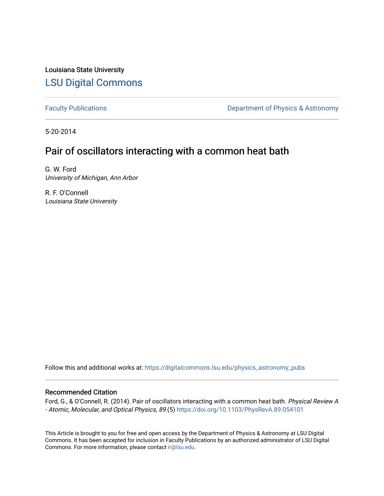Louisiana State University [LSU Digital Commons](https://digitalcommons.lsu.edu/)

[Faculty Publications](https://digitalcommons.lsu.edu/physics_astronomy_pubs) **Exercise 2** Constant Department of Physics & Astronomy

5-20-2014

## Pair of oscillators interacting with a common heat bath

G. W. Ford University of Michigan, Ann Arbor

R. F. O'Connell Louisiana State University

Follow this and additional works at: [https://digitalcommons.lsu.edu/physics\\_astronomy\\_pubs](https://digitalcommons.lsu.edu/physics_astronomy_pubs?utm_source=digitalcommons.lsu.edu%2Fphysics_astronomy_pubs%2F3862&utm_medium=PDF&utm_campaign=PDFCoverPages) 

## Recommended Citation

Ford, G., & O'Connell, R. (2014). Pair of oscillators interacting with a common heat bath. Physical Review A - Atomic, Molecular, and Optical Physics, 89 (5) <https://doi.org/10.1103/PhysRevA.89.054101>

This Article is brought to you for free and open access by the Department of Physics & Astronomy at LSU Digital Commons. It has been accepted for inclusion in Faculty Publications by an authorized administrator of LSU Digital Commons. For more information, please contact [ir@lsu.edu](mailto:ir@lsu.edu).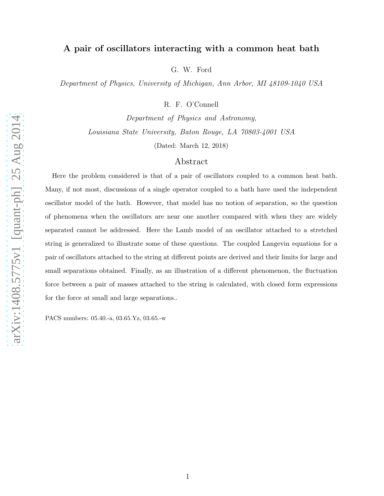## A pair of oscillators interacting with a common heat bath

G. W. Ford

Department of Physics, University of Michigan, Ann Arbor, MI 48109-1040 USA

R. F. O'Connell

Department of Physics and Astronomy, Louisiana State University, Baton Rouge, LA 70803-4001 USA

(Dated: March 12, 2018)

## Abstract

Here the problem considered is that of a pair of oscillators coupled to a common heat bath. Many, if not most, discussions of a single operator coupled to a bath have used the independent oscillator model of the bath. However, that model has no notion of separation, so the question of phenomena when the oscillators are near one another compared with when they are widely separated cannot be addressed. Here the Lamb model of an oscillator attached to a stretched string is generalized to illustrate some of these questions. The coupled Langevin equations for a pair of oscillators attached to the string at different points are derived and their limits for large and small separations obtained. Finally, as an illustration of a different phenomenon, the fluctuation force between a pair of masses attached to the string is calculated, with closed form expressions for the force at small and large separations..

PACS numbers: 05.40.-a, 03.65.Yz, 03.65.-w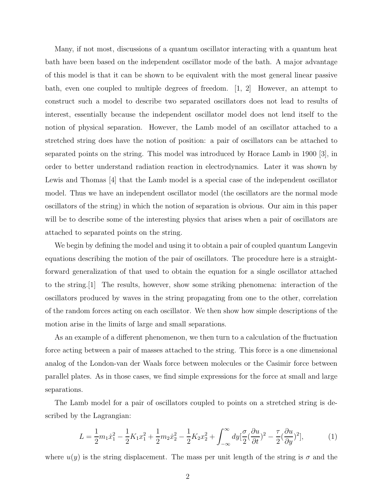Many, if not most, discussions of a quantum oscillator interacting with a quantum heat bath have been based on the independent oscillator mode of the bath. A major advantage of this model is that it can be shown to be equivalent with the most general linear passive bath, even one coupled to multiple degrees of freedom. [1, 2] However, an attempt to construct such a model to describe two separated oscillators does not lead to results of interest, essentially because the independent oscillator model does not lend itself to the notion of physical separation. However, the Lamb model of an oscillator attached to a stretched string does have the notion of position: a pair of oscillators can be attached to separated points on the string. This model was introduced by Horace Lamb in 1900 [3], in order to better understand radiation reaction in electrodynamics. Later it was shown by Lewis and Thomas [4] that the Lamb model is a special case of the independent oscillator model. Thus we have an independent oscillator model (the oscillators are the normal mode oscillators of the string) in which the notion of separation is obvious. Our aim in this paper will be to describe some of the interesting physics that arises when a pair of oscillators are attached to separated points on the string.

We begin by defining the model and using it to obtain a pair of coupled quantum Langevin equations describing the motion of the pair of oscillators. The procedure here is a straightforward generalization of that used to obtain the equation for a single oscillator attached to the string.[1] The results, however, show some striking phenomena: interaction of the oscillators produced by waves in the string propagating from one to the other, correlation of the random forces acting on each oscillator. We then show how simple descriptions of the motion arise in the limits of large and small separations.

As an example of a different phenomenon, we then turn to a calculation of the fluctuation force acting between a pair of masses attached to the string. This force is a one dimensional analog of the London-van der Waals force between molecules or the Casimir force between parallel plates. As in those cases, we find simple expressions for the force at small and large separations.

The Lamb model for a pair of oscillators coupled to points on a stretched string is described by the Lagrangian:

$$
L = \frac{1}{2}m_1\dot{x}_1^2 - \frac{1}{2}K_1x_1^2 + \frac{1}{2}m_2\dot{x}_2^2 - \frac{1}{2}K_2x_2^2 + \int_{-\infty}^{\infty} dy \left[\frac{\sigma}{2}(\frac{\partial u}{\partial t})^2 - \frac{\tau}{2}(\frac{\partial u}{\partial y})^2\right],\tag{1}
$$

where  $u(y)$  is the string displacement. The mass per unit length of the string is  $\sigma$  and the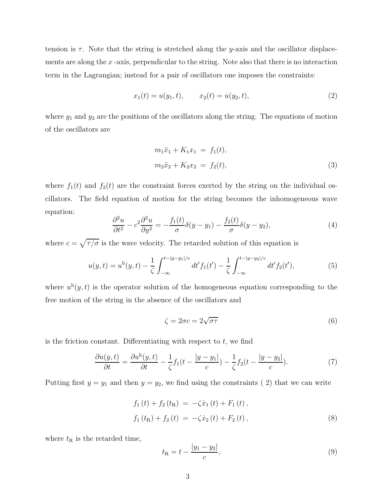tension is  $\tau$ . Note that the string is stretched along the y-axis and the oscillator displacements are along the  $x$ -axis, perpendicular to the string. Note also that there is no interaction term in the Lagrangian; instead for a pair of oscillators one imposes the constraints:

$$
x_1(t) = u(y_1, t), \qquad x_2(t) = u(y_2, t), \tag{2}
$$

where  $y_1$  and  $y_2$  are the positions of the oscillators along the string. The equations of motion of the oscillators are

$$
m_1\ddot{x}_1 + K_1x_1 = f_1(t),
$$
  
\n
$$
m_2\ddot{x}_2 + K_2x_2 = f_2(t),
$$
\n(3)

where  $f_1(t)$  and  $f_2(t)$  are the constraint forces exerted by the string on the individual oscillators. The field equation of motion for the string becomes the inhomogeneous wave equation:

$$
\frac{\partial^2 u}{\partial t^2} - c^2 \frac{\partial^2 u}{\partial y^2} = -\frac{f_1(t)}{\sigma} \delta(y - y_1) - \frac{f_2(t)}{\sigma} \delta(y - y_2),\tag{4}
$$

where  $c = \sqrt{\tau/\sigma}$  is the wave velocity. The retarded solution of this equation is

$$
u(y,t) = u^{h}(y,t) - \frac{1}{\zeta} \int_{-\infty}^{t-|y-y_1|/c} dt' f_1(t') - \frac{1}{\zeta} \int_{-\infty}^{t-|y-y_2|/c} dt' f_2(t'), \tag{5}
$$

where  $u^h(y, t)$  is the operator solution of the homogeneous equation corresponding to the free motion of the string in the absence of the oscillators and

$$
\zeta = 2\sigma c = 2\sqrt{\sigma \tau} \tag{6}
$$

is the friction constant. Differentiating with respect to  $t$ , we find

$$
\frac{\partial u(y,t)}{\partial t} = \frac{\partial u^{\mathrm{h}}(y,t)}{\partial t} - \frac{1}{\zeta} f_1(t - \frac{|y - y_1|}{c}) - \frac{1}{\zeta} f_2(t - \frac{|y - y_2|}{c}).\tag{7}
$$

Putting first  $y = y_1$  and then  $y = y_2$ , we find using the constraints (2) that we can write

$$
f_1(t) + f_2(t_R) = -\zeta \dot{x}_1(t) + F_1(t),
$$
  
\n
$$
f_1(t_R) + f_2(t) = -\zeta \dot{x}_2(t) + F_2(t),
$$
\n(8)

where  $t_{\rm R}$  is the retarded time,

$$
t_{\rm R} = t - \frac{|y_1 - y_2|}{c},\tag{9}
$$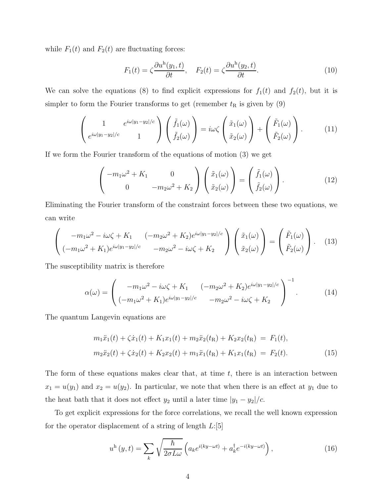while  $F_1(t)$  and  $F_2(t)$  are fluctuating forces:

$$
F_1(t) = \zeta \frac{\partial u^h(y_1, t)}{\partial t}, \quad F_2(t) = \zeta \frac{\partial u^h(y_2, t)}{\partial t}.
$$
\n(10)

We can solve the equations (8) to find explicit expressions for  $f_1(t)$  and  $f_2(t)$ , but it is simpler to form the Fourier transforms to get (remember  $t<sub>R</sub>$  is given by (9)

$$
\begin{pmatrix} 1 & e^{i\omega|y_1-y_2|/c} \\ e^{i\omega|y_1-y_2|/c} & 1 \end{pmatrix} \begin{pmatrix} \tilde{f}_1(\omega) \\ \tilde{f}_2(\omega) \end{pmatrix} = i\omega \zeta \begin{pmatrix} \tilde{x}_1(\omega) \\ \tilde{x}_2(\omega) \end{pmatrix} + \begin{pmatrix} \tilde{F}_1(\omega) \\ \tilde{F}_2(\omega) \end{pmatrix} . \tag{11}
$$

If we form the Fourier transform of the equations of motion (3) we get

$$
\begin{pmatrix} -m_1\omega^2 + K_1 & 0\\ 0 & -m_2\omega^2 + K_2 \end{pmatrix} \begin{pmatrix} \tilde{x}_1(\omega) \\ \tilde{x}_2(\omega) \end{pmatrix} = \begin{pmatrix} \tilde{f}_1(\omega) \\ \tilde{f}_2(\omega) \end{pmatrix} . \tag{12}
$$

Eliminating the Fourier transform of the constraint forces between these two equations, we can write

$$
\begin{pmatrix}\n-m_1\omega^2 - i\omega\zeta + K_1 & (-m_2\omega^2 + K_2)e^{i\omega|y_1 - y_2|/c} \\
(-m_1\omega^2 + K_1)e^{i\omega|y_1 - y_2|/c} & -m_2\omega^2 - i\omega\zeta + K_2\n\end{pmatrix}\n\begin{pmatrix}\n\tilde{x}_1(\omega) \\
\tilde{x}_2(\omega)\n\end{pmatrix} =\n\begin{pmatrix}\n\tilde{F}_1(\omega) \\
\tilde{F}_2(\omega)\n\end{pmatrix}.
$$
\n(13)

The susceptibility matrix is therefore

$$
\alpha(\omega) = \begin{pmatrix} -m_1 \omega^2 - i\omega \zeta + K_1 & (-m_2 \omega^2 + K_2) e^{i\omega|y_1 - y_2|/c} \\ (-m_1 \omega^2 + K_1) e^{i\omega|y_1 - y_2|/c} & -m_2 \omega^2 - i\omega \zeta + K_2 \end{pmatrix}^{-1}.
$$
 (14)

The quantum Langevin equations are

$$
m_1\ddot{x}_1(t) + \zeta \dot{x}_1(t) + K_1 x_1(t) + m_2 \ddot{x}_2(t_R) + K_2 x_2(t_R) = F_1(t),
$$
  
\n
$$
m_2\ddot{x}_2(t) + \zeta \dot{x}_2(t) + K_2 x_2(t) + m_1 \ddot{x}_1(t_R) + K_1 x_1(t_R) = F_2(t).
$$
\n(15)

The form of these equations makes clear that, at time  $t$ , there is an interaction between  $x_1 = u(y_1)$  and  $x_2 = u(y_2)$ . In particular, we note that when there is an effect at  $y_1$  due to the heat bath that it does not effect  $y_2$  until a later time  $|y_1 - y_2|/c$ .

To get explicit expressions for the force correlations, we recall the well known expression for the operator displacement of a string of length  $L:[5]$ 

$$
u^{\mathrm{h}}\left(y,t\right) = \sum_{k} \sqrt{\frac{\hbar}{2\sigma L \omega}} \left( a_{k} e^{i(ky-\omega t)} + a_{k}^{\dagger} e^{-i(ky-\omega t)} \right),\tag{16}
$$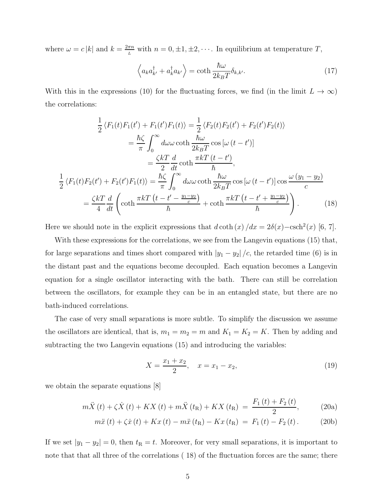where  $\omega = c |k|$  and  $k = \frac{2\pi n}{L}$  $\frac{\pi n}{L}$  with  $n = 0, \pm 1, \pm 2, \cdots$ . In equilibrium at temperature T,

$$
\left\langle a_{k} a_{k'}^{\dagger} + a_{k}^{\dagger} a_{k'} \right\rangle = \coth \frac{\hbar \omega}{2k_{B}T} \delta_{k,k'}.
$$
 (17)

With this in the expressions (10) for the fluctuating forces, we find (in the limit  $L \to \infty$ ) the correlations:

$$
\frac{1}{2} \langle F_1(t) F_1(t') + F_1(t') F_1(t) \rangle = \frac{1}{2} \langle F_2(t) F_2(t') + F_2(t') F_2(t) \rangle
$$

$$
= \frac{\hbar \zeta}{\pi} \int_0^\infty d\omega \omega \coth \frac{\hbar \omega}{2k_B T} \cos \left[ \omega (t - t') \right]
$$

$$
= \frac{\zeta k T}{2} \frac{d}{dt} \coth \frac{\pi k T (t - t')}{\hbar},
$$

$$
\frac{1}{2} \langle F_1(t) F_2(t') + F_2(t') F_1(t) \rangle = \frac{\hbar \zeta}{\pi} \int_0^\infty d\omega \omega \coth \frac{\hbar \omega}{2k_B T} \cos \left[ \omega (t - t') \right] \cos \frac{\omega (y_1 - y_2)}{c}
$$

$$
= \frac{\zeta k T}{4} \frac{d}{dt} \left( \coth \frac{\pi k T (t - t' - \frac{y_1 - y_2}{c})}{\hbar} + \coth \frac{\pi k T (t - t' + \frac{y_1 - y_2}{c})}{\hbar} \right). \tag{18}
$$

Here we should note in the explicit expressions that  $d \coth(x)/dx = 2\delta(x) - \text{csch}^2(x)$  [6, 7].

With these expressions for the correlations, we see from the Langevin equations (15) that, for large separations and times short compared with  $|y_1 - y_2|/c$ , the retarded time (6) is in the distant past and the equations become decoupled. Each equation becomes a Langevin equation for a single oscillator interacting with the bath. There can still be correlation between the oscillators, for example they can be in an entangled state, but there are no bath-induced correlations.

The case of very small separations is more subtle. To simplify the discussion we assume the oscillators are identical, that is,  $m_1 = m_2 = m$  and  $K_1 = K_2 = K$ . Then by adding and subtracting the two Langevin equations (15) and introducing the variables:

$$
X = \frac{x_1 + x_2}{2}, \quad x = x_1 - x_2,\tag{19}
$$

we obtain the separate equations [8]

$$
m\ddot{X}(t) + \zeta \dot{X}(t) + KX(t) + m\ddot{X}(t_{\rm R}) + KX(t_{\rm R}) = \frac{F_1(t) + F_2(t)}{2},
$$
 (20a)

$$
m\ddot{x}(t) + \zeta \dot{x}(t) + Kx(t) - m\ddot{x}(t_{\rm R}) - Kx(t_{\rm R}) = F_1(t) - F_2(t). \tag{20b}
$$

If we set  $|y_1 - y_2| = 0$ , then  $t_R = t$ . Moreover, for very small separations, it is important to note that that all three of the correlations (18) of the fluctuation forces are the same; there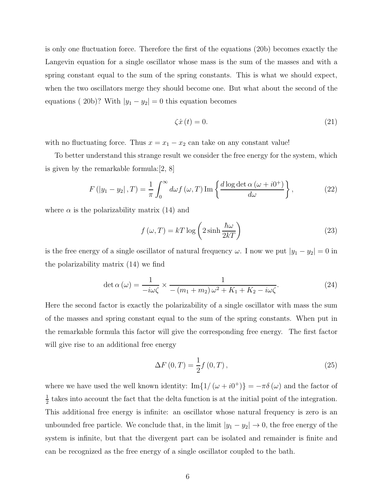is only one fluctuation force. Therefore the first of the equations (20b) becomes exactly the Langevin equation for a single oscillator whose mass is the sum of the masses and with a spring constant equal to the sum of the spring constants. This is what we should expect, when the two oscillators merge they should become one. But what about the second of the equations ( 20b)? With  $|y_1 - y_2| = 0$  this equation becomes

$$
\zeta \dot{x}(t) = 0. \tag{21}
$$

with no fluctuating force. Thus  $x = x_1 - x_2$  can take on any constant value!

To better understand this strange result we consider the free energy for the system, which is given by the remarkable formula:[2, 8]

$$
F\left(|y_1 - y_2|, T\right) = \frac{1}{\pi} \int_0^\infty d\omega f\left(\omega, T\right) \operatorname{Im} \left\{ \frac{d \log \det \alpha \left(\omega + i0^+\right)}{d\omega} \right\},\tag{22}
$$

where  $\alpha$  is the polarizability matrix (14) and

$$
f(\omega, T) = kT \log \left( 2 \sinh \frac{\hbar \omega}{2kT} \right)
$$
 (23)

is the free energy of a single oscillator of natural frequency  $\omega$ . I now we put  $|y_1 - y_2| = 0$  in the polarizability matrix (14) we find

$$
\det \alpha (\omega) = \frac{1}{-i\omega\zeta} \times \frac{1}{-\left(m_1 + m_2\right)\omega^2 + K_1 + K_2 - i\omega\zeta}.
$$
\n(24)

Here the second factor is exactly the polarizability of a single oscillator with mass the sum of the masses and spring constant equal to the sum of the spring constants. When put in the remarkable formula this factor will give the corresponding free energy. The first factor will give rise to an additional free energy

$$
\Delta F(0, T) = \frac{1}{2} f(0, T), \qquad (25)
$$

where we have used the well known identity:  $\text{Im}\lbrace 1/(\omega+i0^+) \rbrace = -\pi \delta(\omega)$  and the factor of 1  $\frac{1}{2}$  takes into account the fact that the delta function is at the initial point of the integration. This additional free energy is infinite: an oscillator whose natural frequency is zero is an unbounded free particle. We conclude that, in the limit  $|y_1 - y_2| \to 0$ , the free energy of the system is infinite, but that the divergent part can be isolated and remainder is finite and can be recognized as the free energy of a single oscillator coupled to the bath.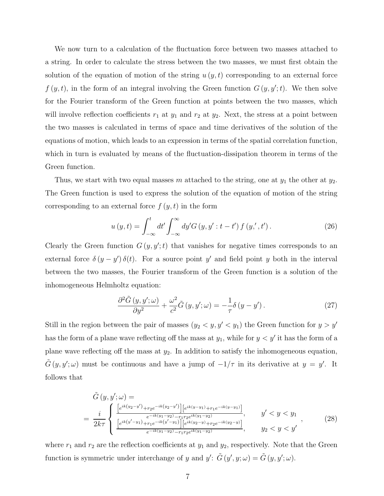We now turn to a calculation of the fluctuation force between two masses attached to a string. In order to calculate the stress between the two masses, we must first obtain the solution of the equation of motion of the string  $u(y, t)$  corresponding to an external force  $f(y, t)$ , in the form of an integral involving the Green function  $G(y, y'; t)$ . We then solve for the Fourier transform of the Green function at points between the two masses, which will involve reflection coefficients  $r_1$  at  $y_1$  and  $r_2$  at  $y_2$ . Next, the stress at a point between the two masses is calculated in terms of space and time derivatives of the solution of the equations of motion, which leads to an expression in terms of the spatial correlation function, which in turn is evaluated by means of the fluctuation-dissipation theorem in terms of the Green function.

Thus, we start with two equal masses m attached to the string, one at  $y_1$  the other at  $y_2$ . The Green function is used to express the solution of the equation of motion of the string corresponding to an external force  $f(y, t)$  in the form

$$
u(y,t) = \int_{-\infty}^{t} dt' \int_{-\infty}^{\infty} dy' G(y, y' : t - t') f(y', t').
$$
 (26)

Clearly the Green function  $G(y, y';t)$  that vanishes for negative times corresponds to an external force  $\delta(y-y')\,\delta(t)$ . For a source point y' and field point y both in the interval between the two masses, the Fourier transform of the Green function is a solution of the inhomogeneous Helmholtz equation:

$$
\frac{\partial^2 \tilde{G}(y, y'; \omega)}{\partial y^2} + \frac{\omega^2}{c^2} \tilde{G}(y, y'; \omega) = -\frac{1}{\tau} \delta(y - y'). \tag{27}
$$

Still in the region between the pair of masses  $(y_2 < y, y' < y_1)$  the Green function for  $y > y'$ has the form of a plane wave reflecting off the mass at  $y_1$ , while for  $y < y'$  it has the form of a plane wave reflecting off the mass at  $y_2$ . In addition to satisfy the inhomogeneous equation,  $\tilde{G}(y, y'; \omega)$  must be continuous and have a jump of  $-1/\tau$  in its derivative at  $y = y'$ . It follows that

$$
\tilde{G}(y, y'; \omega) =
$$
\n
$$
= \frac{i}{2k\tau} \begin{cases}\n\frac{\left[e^{ik(y_2 - y')} + r_2 e^{-ik(y_2 - y')}\right] \left[e^{ik(y - y_1)} + r_1 e^{-ik(y - y_1)}\right]}{e^{-ik(y_1 - y_2)} - r_1 r_2 e^{ik(y_1 - y_2)}}, & y' < y < y_1 \\
\frac{\left[e^{ik(y' - y_1)} + r_1 e^{-ik(y' - y_1)}\right] \left[e^{ik(y_2 - y)} + r_2 e^{-ik(y_2 - y)}\right]}{e^{-ik(y_1 - y_2)} - r_1 r_2 e^{ik(y_1 - y_2)}}, & y_2 < y < y'\n\end{cases}
$$
\n
$$
(28)
$$

where  $r_1$  and  $r_2$  are the reflection coefficients at  $y_1$  and  $y_2$ , respectively. Note that the Green function is symmetric under interchange of y and  $y'$ :  $\tilde{G}(y', y; \omega) = \tilde{G}(y, y'; \omega)$ .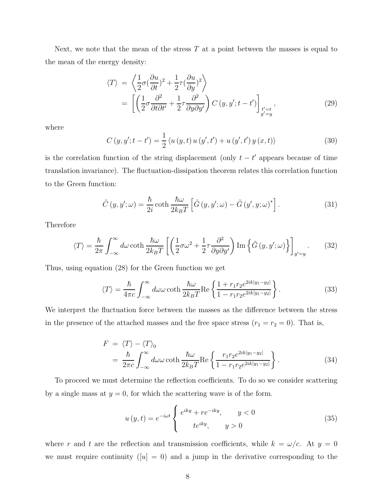Next, we note that the mean of the stress  $T$  at a point between the masses is equal to the mean of the energy density:

$$
\langle T \rangle = \left\langle \frac{1}{2} \sigma (\frac{\partial u}{\partial t})^2 + \frac{1}{2} \tau (\frac{\partial u}{\partial y})^2 \right\rangle
$$
  
= 
$$
\left[ \left( \frac{1}{2} \sigma \frac{\partial^2}{\partial t \partial t'} + \frac{1}{2} \tau \frac{\partial^2}{\partial y \partial y'} \right) C(y, y'; t - t') \right]_{\substack{t'=t \\ y'=y}} ,
$$
 (29)

where

$$
C(y, y'; t - t') = \frac{1}{2} \langle u(y, t) u(y', t') + u(y', t') y(x, t) \rangle
$$
 (30)

is the correlation function of the string displacement (only  $t - t'$  appears because of time translation invariance). The fluctuation-dissipation theorem relates this correlation function to the Green function:

$$
\tilde{C}(y, y'; \omega) = \frac{\hbar}{2i} \coth \frac{\hbar \omega}{2k_B T} \left[ \tilde{G}(y, y'; \omega) - \tilde{G}(y', y; \omega)^* \right]. \tag{31}
$$

Therefore

$$
\langle T \rangle = \frac{\hbar}{2\pi} \int_{-\infty}^{\infty} d\omega \coth \frac{\hbar \omega}{2k_B T} \left[ \left( \frac{1}{2} \sigma \omega^2 + \frac{1}{2} \tau \frac{\partial^2}{\partial y \partial y'} \right) \text{Im} \left\{ \tilde{G} \left( y, y'; \omega \right) \right\} \right]_{y'=y} . \tag{32}
$$

Thus, using equation (28) for the Green function we get

$$
\langle T \rangle = \frac{\hbar}{4\pi c} \int_{-\infty}^{\infty} d\omega \omega \coth \frac{\hbar \omega}{2k_B T} \text{Re}\left\{ \frac{1 + r_1 r_2 e^{2ik|y_1 - y_2|}}{1 - r_1 r_2 e^{2ik|y_1 - y_2|}} \right\}. \tag{33}
$$

We interpret the fluctuation force between the masses as the difference between the stress in the presence of the attached masses and the free space stress  $(r_1 = r_2 = 0)$ . That is,

$$
F = \langle T \rangle - \langle T \rangle_0
$$
  
=  $\frac{\hbar}{2\pi c} \int_{-\infty}^{\infty} d\omega \omega \coth \frac{\hbar \omega}{2k_B T} \text{Re} \left\{ \frac{r_1 r_2 e^{2ik|y_1 - y_2|}}{1 - r_1 r_2 e^{2ik|y_1 - y_2|}} \right\}.$  (34)

To proceed we must determine the reflection coefficients. To do so we consider scattering by a single mass at  $y = 0$ , for which the scattering wave is of the form.

$$
u(y,t) = e^{-i\omega t} \begin{cases} e^{iky} + re^{-iky}, & y < 0\\ te^{iky}, & y > 0 \end{cases}
$$
 (35)

where r and t are the reflection and transmission coefficients, while  $k = \omega/c$ . At  $y = 0$ we must require continuity  $([u] = 0)$  and a jump in the derivative corresponding to the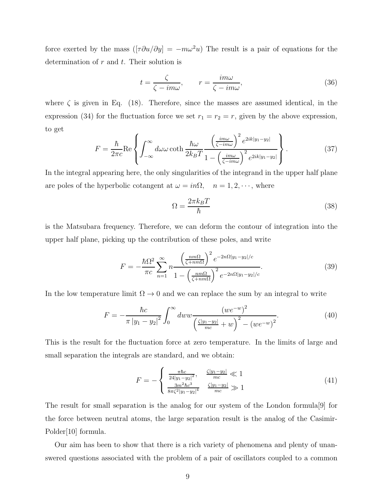force exerted by the mass  $([\tau \partial u/\partial y] = -m\omega^2 u)$  The result is a pair of equations for the determination of  $r$  and  $t$ . Their solution is

$$
t = \frac{\zeta}{\zeta - im\omega}, \qquad r = \frac{im\omega}{\zeta - im\omega}, \tag{36}
$$

where  $\zeta$  is given in Eq. (18). Therefore, since the masses are assumed identical, in the expression (34) for the fluctuation force we set  $r_1 = r_2 = r$ , given by the above expression, to get

$$
F = \frac{\hbar}{2\pi c} \text{Re}\left\{ \int_{-\infty}^{\infty} d\omega \omega \coth \frac{\hbar \omega}{2k_B T} \frac{\left(\frac{im\omega}{\zeta - im\omega}\right)^2 e^{2ik|y_1 - y_2|}}{1 - \left(\frac{im\omega}{\zeta - im\omega}\right)^2 e^{2ik|y_1 - y_2|}} \right\}.
$$
(37)

In the integral appearing here, the only singularities of the integrand in the upper half plane are poles of the hyperbolic cotangent at  $\omega = in\Omega$ ,  $n = 1, 2, \dots$ , where

$$
\Omega = \frac{2\pi k_B T}{\hbar} \tag{38}
$$

is the Matsubara frequency. Therefore, we can deform the contour of integration into the upper half plane, picking up the contribution of these poles, and write

$$
F = -\frac{\hbar\Omega^2}{\pi c} \sum_{n=1}^{\infty} n \frac{\left(\frac{n m \Omega}{\zeta + n m \Omega}\right)^2 e^{-2n\Omega|y_1 - y_2|/c}}{1 - \left(\frac{n m \Omega}{\zeta + n m \Omega}\right)^2 e^{-2n\Omega|y_1 - y_2|/c}}.
$$
(39)

In the low temperature limit  $\Omega \to 0$  and we can replace the sum by an integral to write

$$
F = -\frac{\hbar c}{\pi |y_1 - y_2|^2} \int_0^\infty dw w \frac{(w e^{-w})^2}{\left(\frac{\zeta |y_1 - y_2|}{mc} + w\right)^2 - (w e^{-w})^2}.
$$
 (40)

This is the result for the fluctuation force at zero temperature. In the limits of large and small separation the integrals are standard, and we obtain:

$$
F = -\begin{cases} \frac{\pi \hbar c}{24|y_1 - y_2|^2}, & \frac{\zeta |y_1 - y_2|}{mc} \ll 1\\ \frac{3m^2 \hbar c^3}{8\pi \zeta^2 |y_1 - y_2|^4} & \frac{\zeta |y_1 - y_2|}{mc} \gg 1 \end{cases}
$$
(41)

The result for small separation is the analog for our system of the London formula[9] for the force between neutral atoms, the large separation result is the analog of the Casimir-Polder[10] formula.

Our aim has been to show that there is a rich variety of phenomena and plenty of unanswered questions associated with the problem of a pair of oscillators coupled to a common